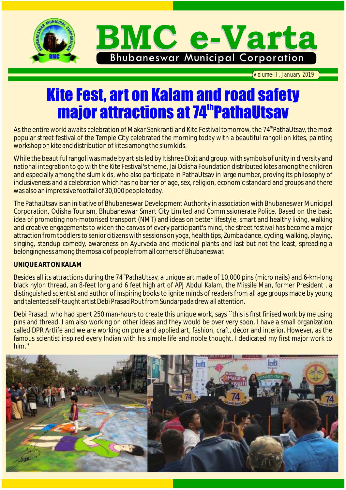

*Volume-II, January 2019*

## **Kite Fest, art on Kalam and road safety major attractions at 74<sup>th</sup> PathaUtsav**

As the entire world awaits celebration of Makar Sankranti and Kite Festival tomorrow, the 74<sup>th</sup>PathaUtsay, the most popular street festival of the Temple City celebrated the morning today with a beautiful rangoli on kites, painting workshop on kite and distribution of kites among the slum kids.

While the beautiful rangoli was made by artists led by Itishree Dixit and group, with symbols of unity in diversity and national integration to go with the Kite Festival's theme, Jai Odisha Foundation distributed kites among the children and especially among the slum kids, who also participate in PathaUtsav in large number, proving its philosophy of inclusiveness and a celebration which has no barrier of age, sex, religion, economic standard and groups and there was also an impressive footfall of 30,000 people today.

The PathaUtsav is an initiative of Bhubaneswar Development Authority in association with Bhubaneswar Municipal Corporation, Odisha Tourism, Bhubaneswar Smart City Limited and Commissionerate Police. Based on the basic idea of promoting non-motorised transport (NMT) and ideas on better lifestyle, smart and healthy living, walking and creative engagements to widen the canvas of every participant's mind, the street festival has become a major attraction from toddlers to senior citizens with sessions on yoga, health tips, Zumba dance, cycling, walking, playing, singing, standup comedy, awareness on Ayurveda and medicinal plants and last but not the least, spreading a belongingness among the mosaic of people from all corners of Bhubaneswar.

#### **UNIQUE ART ON KALAM**

Besides all its attractions during the 74<sup>th</sup> PathaUtsav, a unique art made of 10,000 pins (micro nails) and 6-km-long black nylon thread, an 8-feet long and 6 feet high art of APJ Abdul Kalam, the Missile Man, former President, a distinguished scientist and author of inspiring books to ignite minds of readers from all age groups made by young and talented self-taught artist Debi Prasad Rout from Sundarpada drew all attention.

Debi Prasad, who had spent 250 man-hours to create this unique work, says ``this is first finised work by me using pins and thread. I am also working on other ideas and they would be over very soon. I have a small organization called DPR Artlife and we are working on pure and applied art, fashion, craft, décor and interior. However, as the famous scientist inspired every Indian with his simple life and noble thought, I dedicated my first major work to him.''

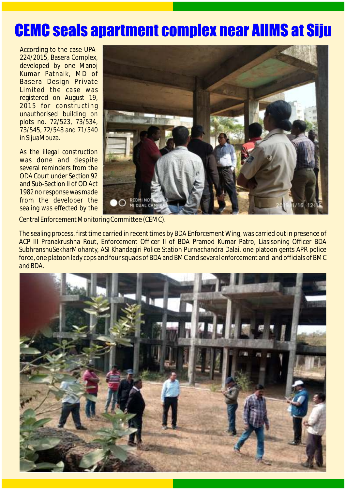## **CEMC seals apartment complex near AIIMS at Siju**

According to the case UPA-224/2015, Basera Complex, developed by one Manoj Kumar Patnaik, MD of Basera Design Private Limited the case was registered on August 19, 2015 for constructing unauthorised building on plots no. 72/523, 73/534, 73/545, 72/548 and 71/540 in SijuaMouza.

As the illegal construction was done and despite several reminders from the ODA Court under Section 92 and Sub-Section II of OD Act 1982 no response was made from the developer the sealing was effected by the



Central Enforcement Monitoring Committee (CEMC).

The sealing process, first time carried in recent times by BDA Enforcement Wing, was carried out in presence of ACP III Pranakrushna Rout, Enforcement Officer II of BDA Pramod Kumar Patro, Liasisoning Officer BDA SubhranshuSekharMohanty, ASI Khandagiri Police Station Purnachandra Dalai, one platoon gents APR police force, one platoon lady cops and four squads of BDA and BMC and several enforcement and land officials of BMC and BDA.

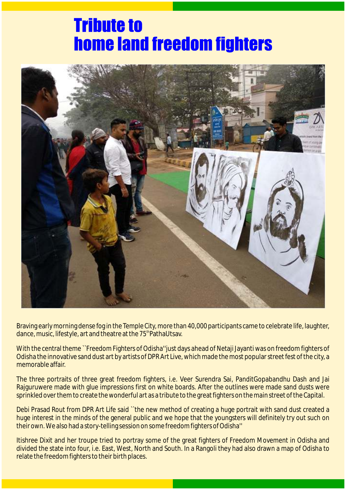### **Tribute to home land freedom fighters**



Braving early morning dense fog in the Temple City, more than 40,000 participants came to celebrate life, laughter, dance, music, lifestyle, art and theatre at the 75<sup>th</sup> PathaUtsav.

With the central theme ``Freedom Fighters of Odisha''just days ahead of Netaji Jayanti was on freedom fighters of Odisha the innovative sand dust art by artists of DPR Art Live, which made the most popular street fest of the city, a memorable affair.

The three portraits of three great freedom fighters, i.e. Veer Surendra Sai, PanditGopabandhu Dash and Jai Rajguruwere made with glue impressions first on white boards. After the outlines were made sand dusts were sprinkled over them to create the wonderful art as a tribute to the great fighters on the main street of the Capital.

Debi Prasad Rout from DPR Art Life said "the new method of creating a huge portrait with sand dust created a huge interest in the minds of the general public and we hope that the youngsters will definitely try out such on their own. We also had a story-telling session on some freedom fighters of Odisha''

Itishree Dixit and her troupe tried to portray some of the great fighters of Freedom Movement in Odisha and divided the state into four, i.e. East, West, North and South. In a Rangoli they had also drawn a map of Odisha to relate the freedom fighters to their birth places.